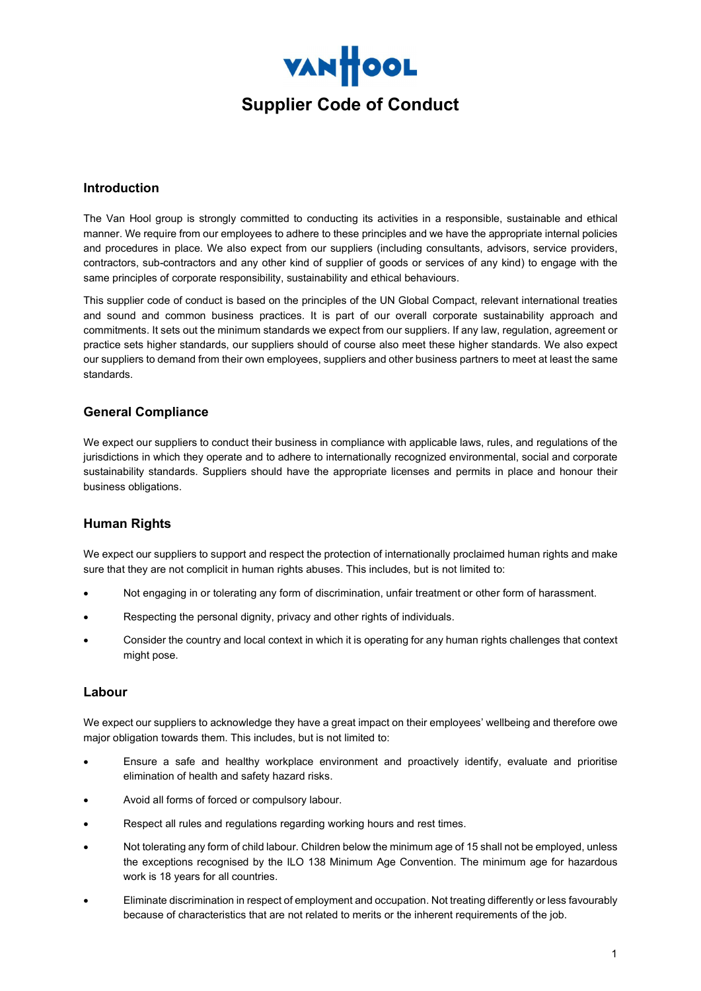

### Introduction

The Van Hool group is strongly committed to conducting its activities in a responsible, sustainable and ethical manner. We require from our employees to adhere to these principles and we have the appropriate internal policies and procedures in place. We also expect from our suppliers (including consultants, advisors, service providers, contractors, sub-contractors and any other kind of supplier of goods or services of any kind) to engage with the same principles of corporate responsibility, sustainability and ethical behaviours.

This supplier code of conduct is based on the principles of the UN Global Compact, relevant international treaties and sound and common business practices. It is part of our overall corporate sustainability approach and commitments. It sets out the minimum standards we expect from our suppliers. If any law, regulation, agreement or practice sets higher standards, our suppliers should of course also meet these higher standards. We also expect our suppliers to demand from their own employees, suppliers and other business partners to meet at least the same standards.

# General Compliance

We expect our suppliers to conduct their business in compliance with applicable laws, rules, and regulations of the jurisdictions in which they operate and to adhere to internationally recognized environmental, social and corporate sustainability standards. Suppliers should have the appropriate licenses and permits in place and honour their business obligations.

## Human Rights

We expect our suppliers to support and respect the protection of internationally proclaimed human rights and make sure that they are not complicit in human rights abuses. This includes, but is not limited to:

- Not engaging in or tolerating any form of discrimination, unfair treatment or other form of harassment.
- Respecting the personal dignity, privacy and other rights of individuals.
- Consider the country and local context in which it is operating for any human rights challenges that context might pose.

#### Labour

We expect our suppliers to acknowledge they have a great impact on their employees' wellbeing and therefore owe major obligation towards them. This includes, but is not limited to:

- Ensure a safe and healthy workplace environment and proactively identify, evaluate and prioritise elimination of health and safety hazard risks.
- Avoid all forms of forced or compulsory labour.
- Respect all rules and regulations regarding working hours and rest times.
- Not tolerating any form of child labour. Children below the minimum age of 15 shall not be employed, unless the exceptions recognised by the ILO 138 Minimum Age Convention. The minimum age for hazardous work is 18 years for all countries.
- Eliminate discrimination in respect of employment and occupation. Not treating differently or less favourably because of characteristics that are not related to merits or the inherent requirements of the job.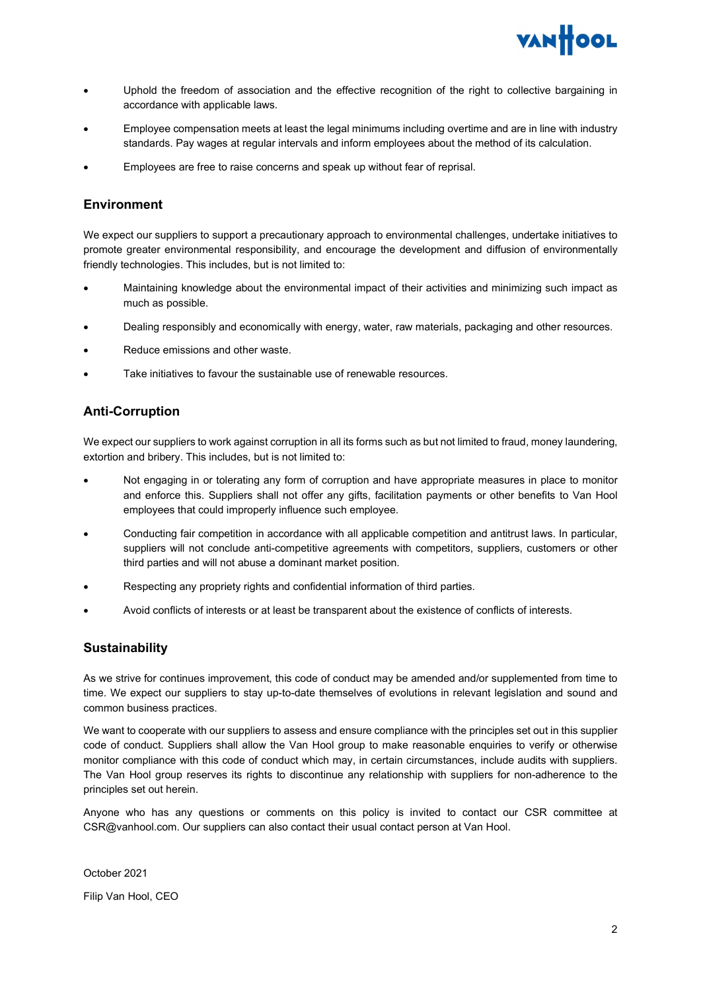

- Uphold the freedom of association and the effective recognition of the right to collective bargaining in accordance with applicable laws.
- Employee compensation meets at least the legal minimums including overtime and are in line with industry standards. Pay wages at regular intervals and inform employees about the method of its calculation.
- Employees are free to raise concerns and speak up without fear of reprisal.

#### Environment

We expect our suppliers to support a precautionary approach to environmental challenges, undertake initiatives to promote greater environmental responsibility, and encourage the development and diffusion of environmentally friendly technologies. This includes, but is not limited to:

- Maintaining knowledge about the environmental impact of their activities and minimizing such impact as much as possible.
- Dealing responsibly and economically with energy, water, raw materials, packaging and other resources.
- Reduce emissions and other waste.
- Take initiatives to favour the sustainable use of renewable resources.

### Anti-Corruption

We expect our suppliers to work against corruption in all its forms such as but not limited to fraud, money laundering, extortion and bribery. This includes, but is not limited to:

- Not engaging in or tolerating any form of corruption and have appropriate measures in place to monitor and enforce this. Suppliers shall not offer any gifts, facilitation payments or other benefits to Van Hool employees that could improperly influence such employee.
- Conducting fair competition in accordance with all applicable competition and antitrust laws. In particular, suppliers will not conclude anti-competitive agreements with competitors, suppliers, customers or other third parties and will not abuse a dominant market position.
- Respecting any propriety rights and confidential information of third parties.
- Avoid conflicts of interests or at least be transparent about the existence of conflicts of interests.

#### **Sustainability**

As we strive for continues improvement, this code of conduct may be amended and/or supplemented from time to time. We expect our suppliers to stay up-to-date themselves of evolutions in relevant legislation and sound and common business practices.

We want to cooperate with our suppliers to assess and ensure compliance with the principles set out in this supplier code of conduct. Suppliers shall allow the Van Hool group to make reasonable enquiries to verify or otherwise monitor compliance with this code of conduct which may, in certain circumstances, include audits with suppliers. The Van Hool group reserves its rights to discontinue any relationship with suppliers for non-adherence to the principles set out herein.

Anyone who has any questions or comments on this policy is invited to contact our CSR committee at CSR@vanhool.com. Our suppliers can also contact their usual contact person at Van Hool.

October 2021 Filip Van Hool, CEO